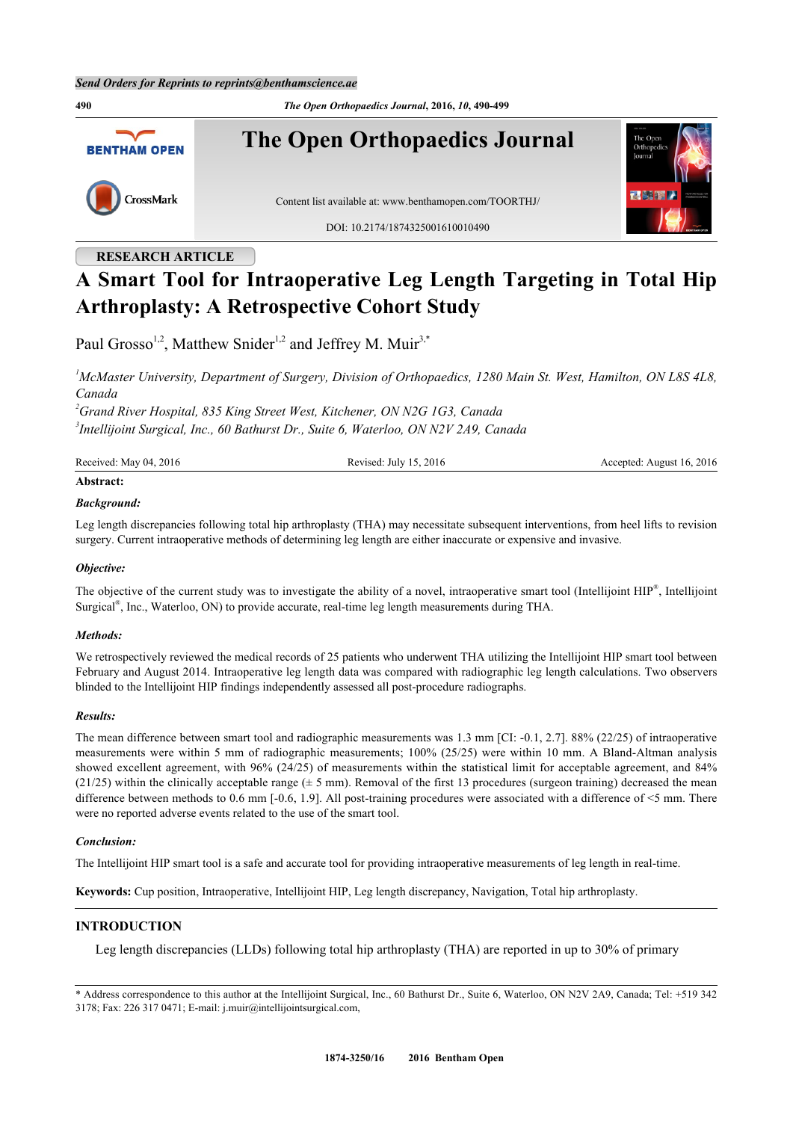**490** *The Open Orthopaedics Journal***, 2016,** *10***, 490-499 The Open Orthopaedics Journal BENTHAM OPEN** CrossMark Content list available at: [www.benthamopen.com/TOORTHJ/](http://www.benthamopen.com/TOORTHJ/) DOI: [10.2174/1874325001610010490](http://dx.doi.org/10.2174/1874325001610010490)

# **RESEARCH ARTICLE**

# **A Smart Tool for Intraoperative Leg Length Targeting in Total Hip Arthroplasty: A Retrospective Cohort Study**

Paul Grosso<sup>[1](#page-0-0),[2](#page-0-1)</sup>, Matthew Snider<sup>[1,](#page-0-0)2</sup> and Jeffrey M. Muir<sup>[3](#page-0-2),[\\*](#page-0-3)</sup>

<span id="page-0-0"></span>*<sup>1</sup>McMaster University, Department of Surgery, Division of Orthopaedics, 1280 Main St. West, Hamilton, ON L8S 4L8, Canada*

<span id="page-0-2"></span><span id="page-0-1"></span>*<sup>2</sup>Grand River Hospital, 835 King Street West, Kitchener, ON N2G 1G3, Canada 3 Intellijoint Surgical, Inc., 60 Bathurst Dr., Suite 6, Waterloo, ON N2V 2A9, Canada*

| Received: May 04, 2016 | Revised: July 15, 2016 | Accepted: August 16, 2016 |
|------------------------|------------------------|---------------------------|
| Abstract:              |                        |                           |

#### *Background:*

Leg length discrepancies following total hip arthroplasty (THA) may necessitate subsequent interventions, from heel lifts to revision surgery. Current intraoperative methods of determining leg length are either inaccurate or expensive and invasive.

#### *Objective:*

The objective of the current study was to investigate the ability of a novel, intraoperative smart tool (Intellijoint HIP<sup>®</sup>, Intellijoint Surgical® , Inc., Waterloo, ON) to provide accurate, real-time leg length measurements during THA.

#### *Methods:*

We retrospectively reviewed the medical records of 25 patients who underwent THA utilizing the Intellijoint HIP smart tool between February and August 2014. Intraoperative leg length data was compared with radiographic leg length calculations. Two observers blinded to the Intellijoint HIP findings independently assessed all post-procedure radiographs.

#### *Results:*

The mean difference between smart tool and radiographic measurements was 1.3 mm [CI: -0.1, 2.7]. 88% (22/25) of intraoperative measurements were within 5 mm of radiographic measurements; 100% (25/25) were within 10 mm. A Bland-Altman analysis showed excellent agreement, with 96% (24/25) of measurements within the statistical limit for acceptable agreement, and 84% (21/25) within the clinically acceptable range  $(\pm 5 \text{ mm})$ . Removal of the first 13 procedures (surgeon training) decreased the mean difference between methods to 0.6 mm [-0.6, 1.9]. All post-training procedures were associated with a difference of <5 mm. There were no reported adverse events related to the use of the smart tool.

#### *Conclusion:*

The Intellijoint HIP smart tool is a safe and accurate tool for providing intraoperative measurements of leg length in real-time.

**Keywords:** Cup position, Intraoperative, Intellijoint HIP, Leg length discrepancy, Navigation, Total hip arthroplasty.

# **INTRODUCTION**

Leg length discrepancies (LLDs) following total hip arthroplasty (THA) are reported in up to 30% of primary

<span id="page-0-3"></span>\* Address correspondence to this author at the Intellijoint Surgical, Inc., 60 Bathurst Dr., Suite 6, Waterloo, ON N2V 2A9, Canada; Tel: +519 342 3178; Fax: 226 317 0471; E-mail: [j.muir@intellijointsurgical.com,](mailto:j.muir@intellijointsurgical.com)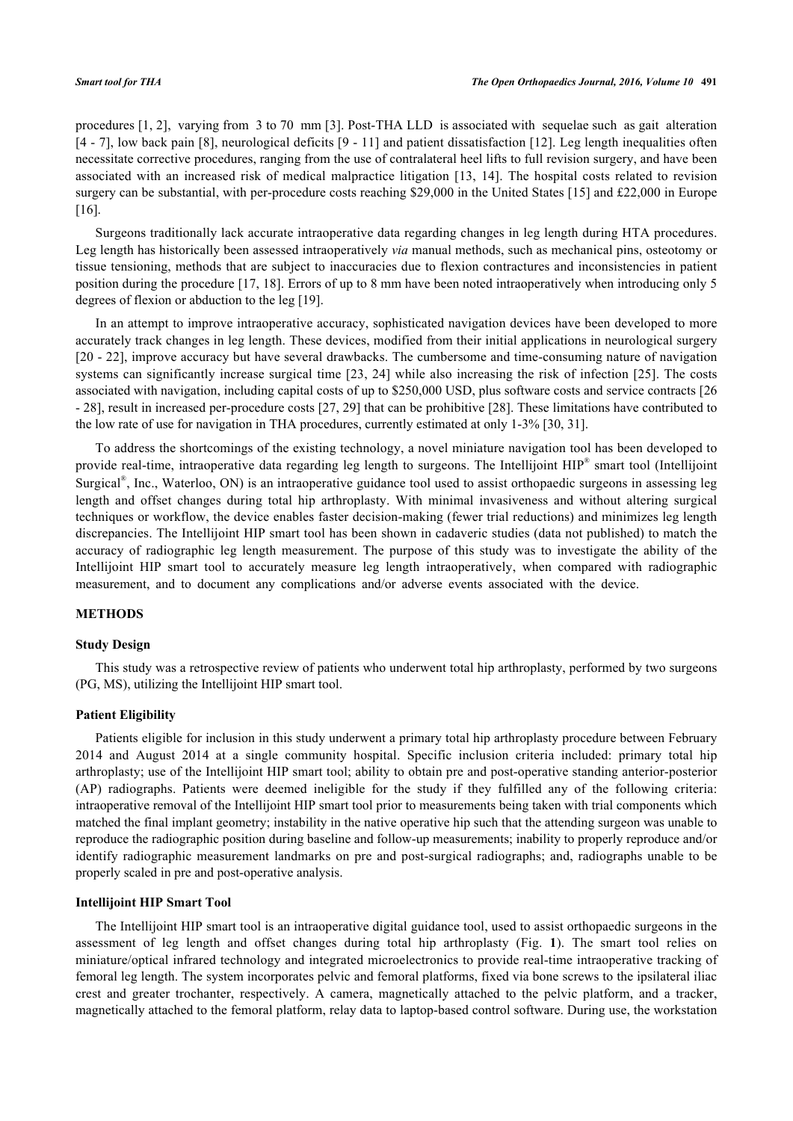procedures [\[1](#page-7-0), [2](#page-7-1)], varying from 3 to 70 mm [[3\]](#page-7-2). Post-THA LLD is associated with sequelae such as gait alteration [\[4](#page-7-3) - [7](#page-7-4)], low back pain [[8\]](#page-7-5), neurological deficits [[9](#page-7-6) - [11\]](#page-8-0) and patient dissatisfaction [\[12](#page-8-1)]. Leg length inequalities often necessitate corrective procedures, ranging from the use of contralateral heel lifts to full revision surgery, and have been associated with an increased risk of medical malpractice litigation[[13,](#page-8-2) [14\]](#page-8-3). The hospital costs related to revision surgery can be substantial, with per-procedure costs reaching \$29,000 in the United States [[15\]](#page-8-4) and £22,000 in Europe [\[16](#page-8-5)].

Surgeons traditionally lack accurate intraoperative data regarding changes in leg length during HTA procedures. Leg length has historically been assessed intraoperatively *via* manual methods, such as mechanical pins, osteotomy or tissue tensioning, methods that are subject to inaccuracies due to flexion contractures and inconsistencies in patient position during the procedure [\[17](#page-8-6), [18\]](#page-8-7). Errors of up to 8 mm have been noted intraoperatively when introducing only 5 degrees of flexion or abduction to the leg [\[19](#page-8-8)].

In an attempt to improve intraoperative accuracy, sophisticated navigation devices have been developed to more accurately track changes in leg length. These devices, modified from their initial applications in neurological surgery [\[20](#page-8-9) - [22\]](#page-8-10), improve accuracy but have several drawbacks. The cumbersome and time-consuming nature of navigation systems can significantly increase surgical time [\[23](#page-8-11), [24\]](#page-8-12) while also increasing the risk of infection [[25](#page-8-13)]. The costs associated with navigation, including capital costs of up to \$250,000 USD, plus software costs and service contracts [[26](#page-8-14) - [28\]](#page-8-15), result in increased per-procedure costs [\[27](#page-8-16), [29\]](#page-8-17) that can be prohibitive [[28\]](#page-8-15). These limitations have contributed to the low rate of use for navigation in THA procedures, currently estimated at only 1-3% [\[30](#page-8-18), [31](#page-8-19)].

To address the shortcomings of the existing technology, a novel miniature navigation tool has been developed to provide real-time, intraoperative data regarding leg length to surgeons. The Intellijoint HIP® smart tool (Intellijoint Surgical<sup>®</sup>, Inc., Waterloo, ON) is an intraoperative guidance tool used to assist orthopaedic surgeons in assessing leg length and offset changes during total hip arthroplasty. With minimal invasiveness and without altering surgical techniques or workflow, the device enables faster decision-making (fewer trial reductions) and minimizes leg length discrepancies. The Intellijoint HIP smart tool has been shown in cadaveric studies (data not published) to match the accuracy of radiographic leg length measurement. The purpose of this study was to investigate the ability of the Intellijoint HIP smart tool to accurately measure leg length intraoperatively, when compared with radiographic measurement, and to document any complications and/or adverse events associated with the device.

### **METHODS**

#### **Study Design**

This study was a retrospective review of patients who underwent total hip arthroplasty, performed by two surgeons (PG, MS), utilizing the Intellijoint HIP smart tool.

#### **Patient Eligibility**

Patients eligible for inclusion in this study underwent a primary total hip arthroplasty procedure between February 2014 and August 2014 at a single community hospital. Specific inclusion criteria included: primary total hip arthroplasty; use of the Intellijoint HIP smart tool; ability to obtain pre and post-operative standing anterior-posterior (AP) radiographs. Patients were deemed ineligible for the study if they fulfilled any of the following criteria: intraoperative removal of the Intellijoint HIP smart tool prior to measurements being taken with trial components which matched the final implant geometry; instability in the native operative hip such that the attending surgeon was unable to reproduce the radiographic position during baseline and follow-up measurements; inability to properly reproduce and/or identify radiographic measurement landmarks on pre and post-surgical radiographs; and, radiographs unable to be properly scaled in pre and post-operative analysis.

#### **Intellijoint HIP Smart Tool**

The Intellijoint HIP smart tool is an intraoperative digital guidance tool, used to assist orthopaedic surgeons in the assessment of leg length and offset changes during total hip arthroplasty (Fig.**1**). The smart tool relies on miniature/optical infrared technology and integrated microelectronics to provide real-time intraoperative tracking of femoral leg length. The system incorporates pelvic and femoral platforms, fixed via bone screws to the ipsilateral iliac crest and greater trochanter, respectively. A camera, magnetically attached to the pelvic platform, and a tracker, magnetically attached to the femoral platform, relay data to laptop-based control software. During use, the workstation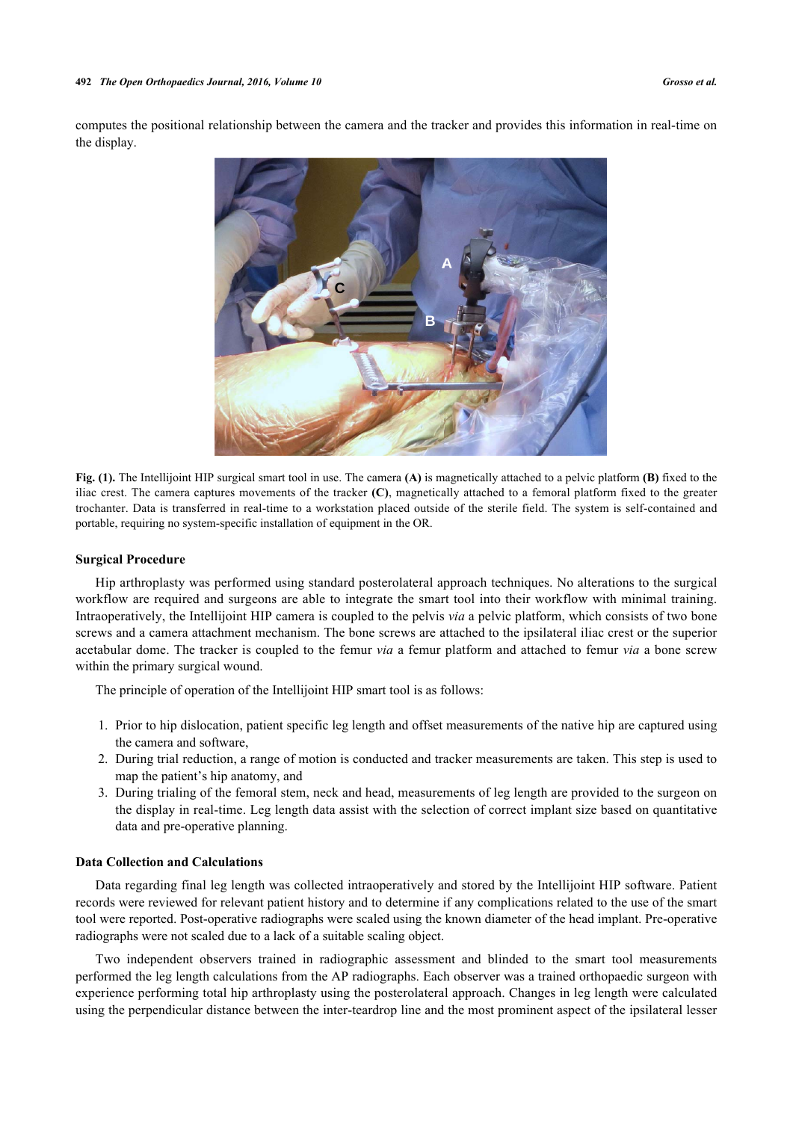<span id="page-2-0"></span>computes the positional relationship between the camera and the tracker and provides this information in real-time on the display.



**Fig. (1).** The Intellijoint HIP surgical smart tool in use. The camera **(A)** is magnetically attached to a pelvic platform **(B)** fixed to the iliac crest. The camera captures movements of the tracker **(C)**, magnetically attached to a femoral platform fixed to the greater trochanter. Data is transferred in real-time to a workstation placed outside of the sterile field. The system is self-contained and portable, requiring no system-specific installation of equipment in the OR.

#### **Surgical Procedure**

Hip arthroplasty was performed using standard posterolateral approach techniques. No alterations to the surgical workflow are required and surgeons are able to integrate the smart tool into their workflow with minimal training. Intraoperatively, the Intellijoint HIP camera is coupled to the pelvis *via* a pelvic platform, which consists of two bone screws and a camera attachment mechanism. The bone screws are attached to the ipsilateral iliac crest or the superior acetabular dome. The tracker is coupled to the femur *via* a femur platform and attached to femur *via* a bone screw within the primary surgical wound.

The principle of operation of the Intellijoint HIP smart tool is as follows:

- 1. Prior to hip dislocation, patient specific leg length and offset measurements of the native hip are captured using the camera and software,
- 2. During trial reduction, a range of motion is conducted and tracker measurements are taken. This step is used to map the patient's hip anatomy, and
- 3. During trialing of the femoral stem, neck and head, measurements of leg length are provided to the surgeon on the display in real-time. Leg length data assist with the selection of correct implant size based on quantitative data and pre-operative planning.

#### **Data Collection and Calculations**

Data regarding final leg length was collected intraoperatively and stored by the Intellijoint HIP software. Patient records were reviewed for relevant patient history and to determine if any complications related to the use of the smart tool were reported. Post-operative radiographs were scaled using the known diameter of the head implant. Pre-operative radiographs were not scaled due to a lack of a suitable scaling object.

Two independent observers trained in radiographic assessment and blinded to the smart tool measurements performed the leg length calculations from the AP radiographs. Each observer was a trained orthopaedic surgeon with experience performing total hip arthroplasty using the posterolateral approach. Changes in leg length were calculated using the perpendicular distance between the inter-teardrop line and the most prominent aspect of the ipsilateral lesser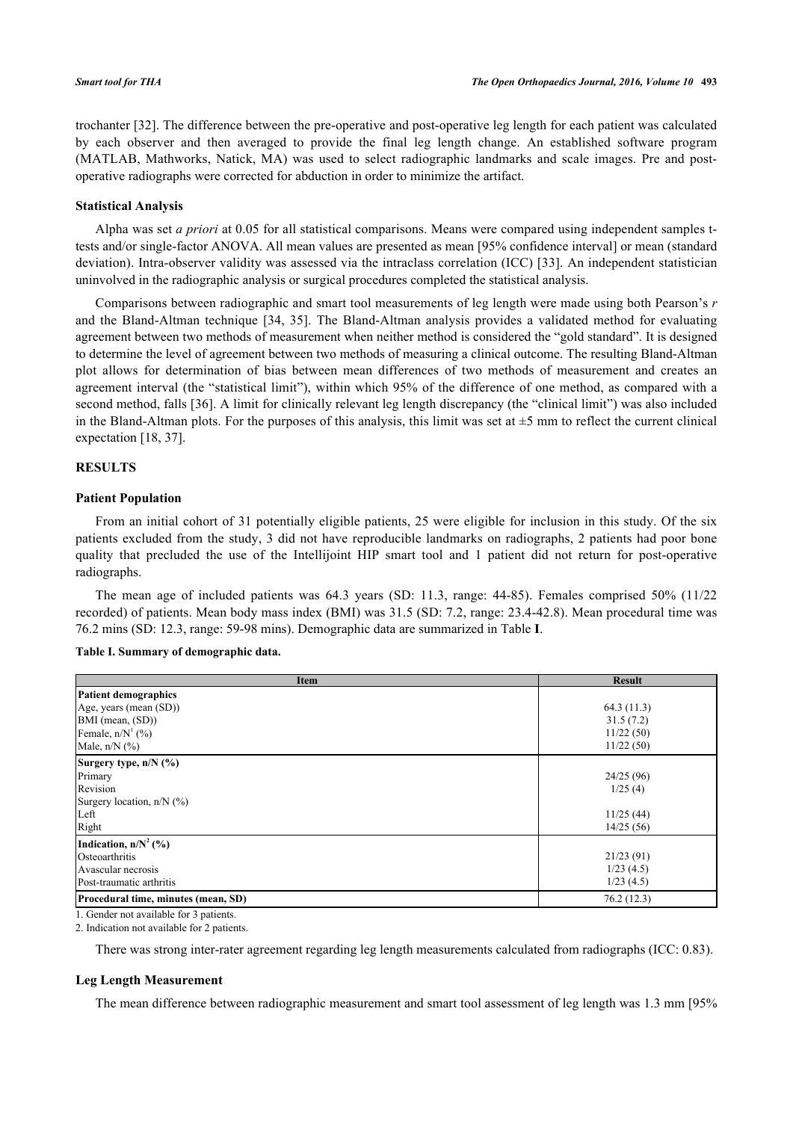trochanter [[32\]](#page-8-20). The difference between the pre-operative and post-operative leg length for each patient was calculated by each observer and then averaged to provide the final leg length change. An established software program (MATLAB, Mathworks, Natick, MA) was used to select radiographic landmarks and scale images. Pre and postoperative radiographs were corrected for abduction in order to minimize the artifact.

#### **Statistical Analysis**

Alpha was set *a priori* at 0.05 for all statistical comparisons. Means were compared using independent samples ttests and/or single-factor ANOVA. All mean values are presented as mean [95% confidence interval] or mean (standard deviation). Intra-observer validity was assessed via the intraclass correlation (ICC) [[33](#page-9-0)]. An independent statistician uninvolved in the radiographic analysis or surgical procedures completed the statistical analysis.

Comparisons between radiographic and smart tool measurements of leg length were made using both Pearson's *r* and the Bland-Altman technique[[34](#page-9-1), [35\]](#page-9-2). The Bland-Altman analysis provides a validated method for evaluating agreement between two methods of measurement when neither method is considered the "gold standard". It is designed to determine the level of agreement between two methods of measuring a clinical outcome. The resulting Bland-Altman plot allows for determination of bias between mean differences of two methods of measurement and creates an agreement interval (the "statistical limit"), within which 95% of the difference of one method, as compared with a second method, falls [[36\]](#page-9-3). A limit for clinically relevant leg length discrepancy (the "clinical limit") was also included in the Bland-Altman plots. For the purposes of this analysis, this limit was set at  $\pm$ 5 mm to reflect the current clinical expectation [[18,](#page-8-7) [37\]](#page-9-4).

#### **RESULTS**

#### **Patient Population**

From an initial cohort of 31 potentially eligible patients, 25 were eligible for inclusion in this study. Of the six patients excluded from the study, 3 did not have reproducible landmarks on radiographs, 2 patients had poor bone quality that precluded the use of the Intellijoint HIP smart tool and 1 patient did not return for post-operative radiographs.

The mean age of included patients was 64.3 years (SD: 11.3, range: 44-85). Females comprised 50% (11/22 recorded) of patients. Mean body mass index (BMI) was 31.5 (SD: 7.2, range: 23.4-42.8). Mean procedural time was 76.2 mins (SD: 12.3, range: 59-98 mins). Demographic data are summarized in Table **[I](#page-3-0)**.

#### <span id="page-3-0"></span>**Table I. Summary of demographic data.**

| <b>Item</b>                         | <b>Result</b> |
|-------------------------------------|---------------|
| <b>Patient demographics</b>         |               |
| Age, years (mean (SD))              | 64.3(11.3)    |
| BMI (mean, (SD))                    | 31.5(7.2)     |
| Female, $n/N^1$ (%)                 | 11/22(50)     |
| Male, $n/N$ $(\%)$                  | 11/22(50)     |
| Surgery type, n/N (%)               |               |
| Primary                             | 24/25(96)     |
| Revision                            | 1/25(4)       |
| Surgery location, $n/N$ (%)         |               |
| Left                                | 11/25(44)     |
| Right                               | 14/25(56)     |
| Indication, $n/N^2$ (%)             |               |
| Osteoarthritis                      | 21/23(91)     |
| Avascular necrosis                  | 1/23(4.5)     |
| Post-traumatic arthritis            | 1/23(4.5)     |
| Procedural time, minutes (mean, SD) | 76.2(12.3)    |

1. Gender not available for 3 patients.

2. Indication not available for 2 patients.

There was strong inter-rater agreement regarding leg length measurements calculated from radiographs (ICC: 0.83).

### **Leg Length Measurement**

The mean difference between radiographic measurement and smart tool assessment of leg length was 1.3 mm [95%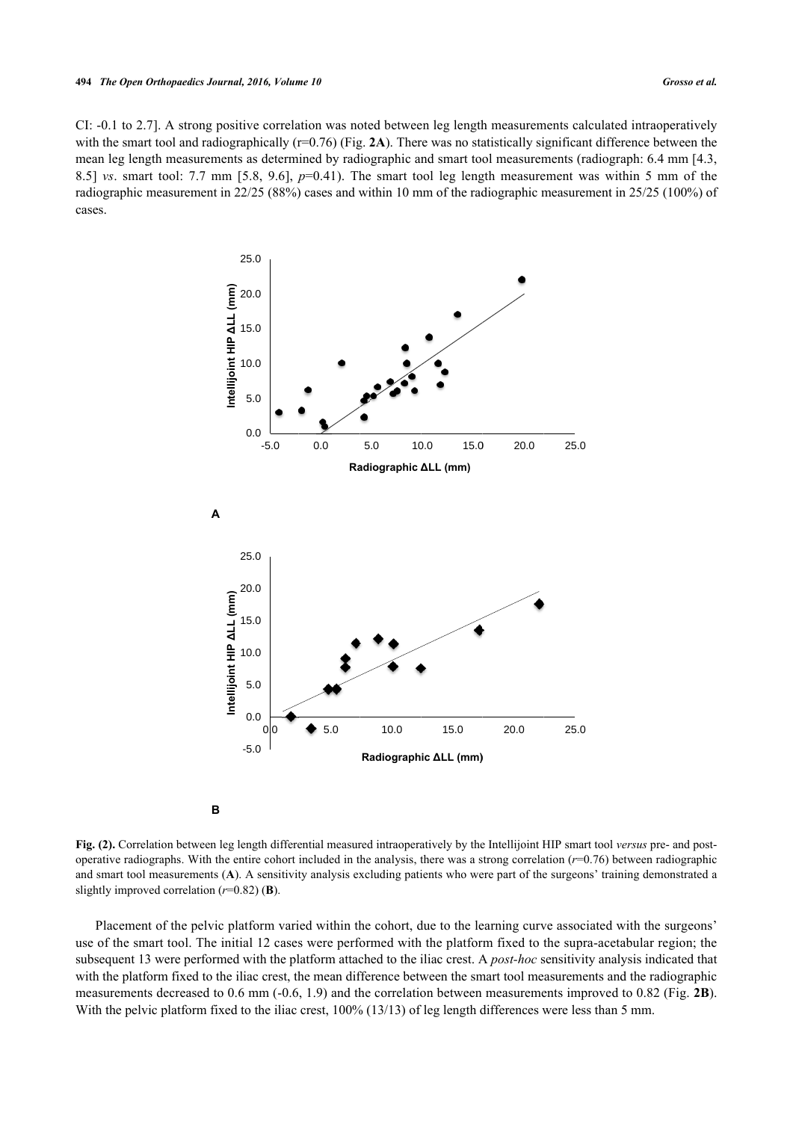<span id="page-4-0"></span>CI: -0.1 to 2.7]. A strong positive correlation was noted between leg length measurements calculated intraoperatively with the smart tool and radiographically  $(r=0.76)$  (Fig. [2A](#page-4-0)). There was no statistically significant difference between the mean leg length measurements as determined by radiographic and smart tool measurements (radiograph: 6.4 mm [4.3, 8.5] *vs*. smart tool: 7.7 mm [5.8, 9.6], *p*=0.41). The smart tool leg length measurement was within 5 mm of the radiographic measurement in 22/25 (88%) cases and within 10 mm of the radiographic measurement in 25/25 (100%) of cases.



**Fig. (2).** Correlation between leg length differential measured intraoperatively by the Intellijoint HIP smart tool *versus* pre- and postoperative radiographs. With the entire cohort included in the analysis, there was a strong correlation (*r*=0.76) between radiographic and smart tool measurements (**A**). A sensitivity analysis excluding patients who were part of the surgeons' training demonstrated a slightly improved correlation (*r*=0.82) (**B**).

Placement of the pelvic platform varied within the cohort, due to the learning curve associated with the surgeons' use of the smart tool. The initial 12 cases were performed with the platform fixed to the supra-acetabular region; the subsequent 13 were performed with the platform attached to the iliac crest. A *post-hoc* sensitivity analysis indicated that with the platform fixed to the iliac crest, the mean difference between the smart tool measurements and the radiographic measurements decreased to 0.6 mm (-0.6, 1.9) and the correlation between measurements improved to 0.82 (Fig. **[2B](#page-4-0)**). With the pelvic platform fixed to the iliac crest, 100% (13/13) of leg length differences were less than 5 mm.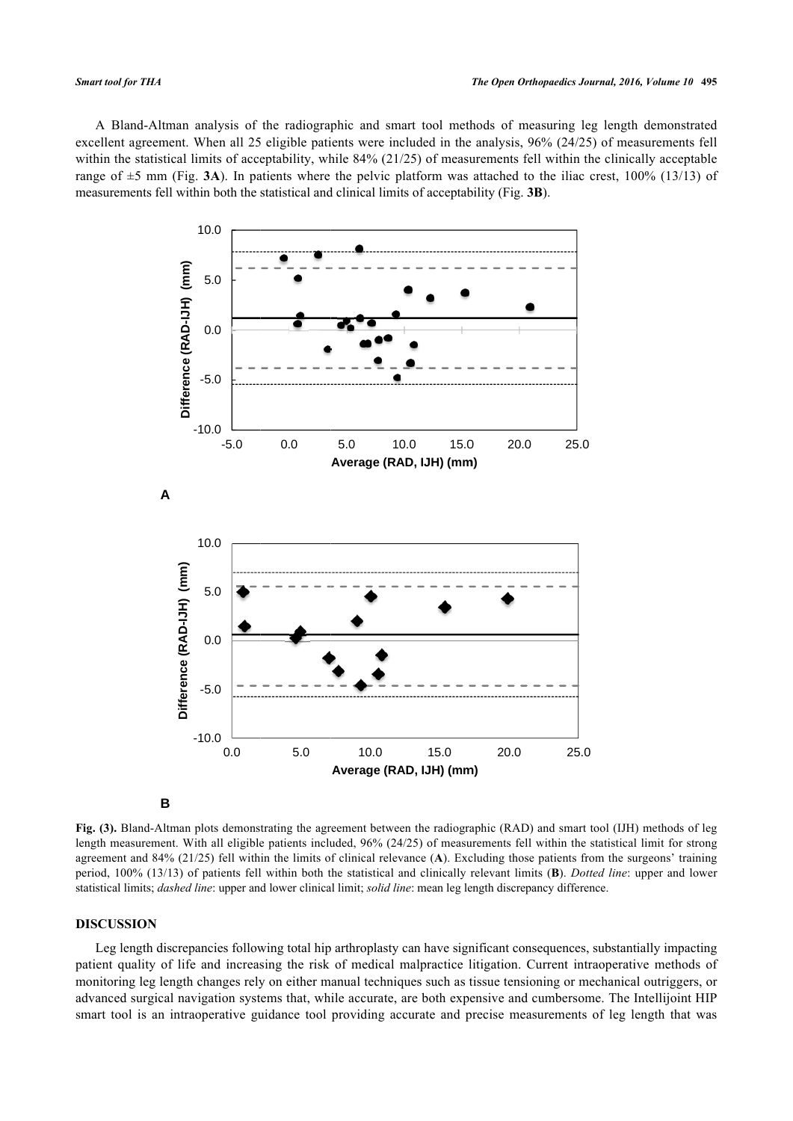<span id="page-5-0"></span>A Bland-Altman analysis of the radiographic and smart tool methods of measuring leg length demonstrated excellent agreement. When all 25 eligible patients were included in the analysis, 96% (24/25) of measurements fell within the statistical limits of acceptability, while 84% (21/25) of measurements fell within the clinically acceptable range of  $\pm$ 5 mm (Fig. **[3A](#page-5-0)**). In patients where the pelvic platform was attached to the iliac crest, 100% (13/13) of measurements fell within both the statistical and clinical limits of acceptability (Fig. **[3B](#page-5-0)**).



**Fig. (3).** Bland-Altman plots demonstrating the agreement between the radiographic (RAD) and smart tool (IJH) methods of leg length measurement. With all eligible patients included, 96% (24/25) of measurements fell within the statistical limit for strong agreement and 84% (21/25) fell within the limits of clinical relevance (**A**). Excluding those patients from the surgeons' training period, 100% (13/13) of patients fell within both the statistical and clinically relevant limits (**B**). *Dotted line*: upper and lower statistical limits; *dashed line*: upper and lower clinical limit; *solid line*: mean leg length discrepancy difference.

#### **DISCUSSION**

Leg length discrepancies following total hip arthroplasty can have significant consequences, substantially impacting patient quality of life and increasing the risk of medical malpractice litigation. Current intraoperative methods of monitoring leg length changes rely on either manual techniques such as tissue tensioning or mechanical outriggers, or advanced surgical navigation systems that, while accurate, are both expensive and cumbersome. The Intellijoint HIP smart tool is an intraoperative guidance tool providing accurate and precise measurements of leg length that was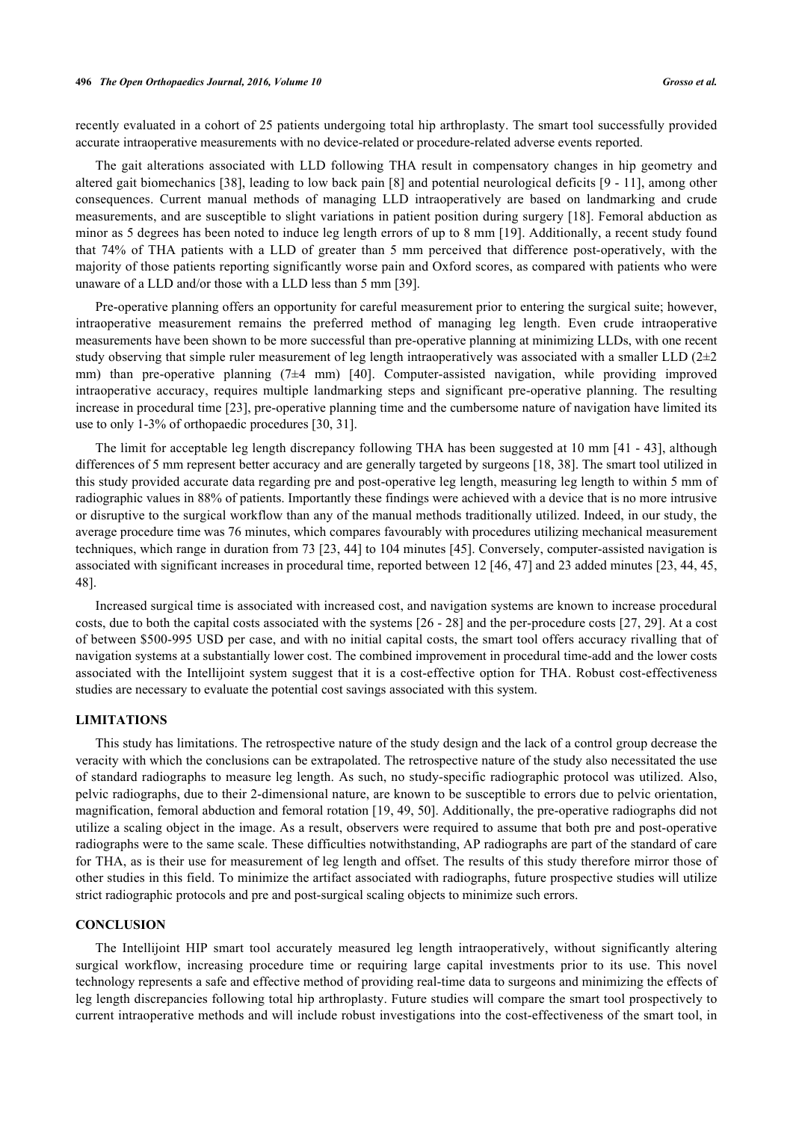recently evaluated in a cohort of 25 patients undergoing total hip arthroplasty. The smart tool successfully provided accurate intraoperative measurements with no device-related or procedure-related adverse events reported.

The gait alterations associated with LLD following THA result in compensatory changes in hip geometry and altered gait biomechanics [\[38](#page-9-5)], leading to low back pain [\[8](#page-7-5)] and potential neurological deficits [[9](#page-7-6) - [11](#page-8-0)], among other consequences. Current manual methods of managing LLD intraoperatively are based on landmarking and crude measurements, and are susceptible to slight variations in patient position during surgery [[18](#page-8-7)]. Femoral abduction as minor as 5 degrees has been noted to induce leg length errors of up to 8 mm [\[19](#page-8-8)]. Additionally, a recent study found that 74% of THA patients with a LLD of greater than 5 mm perceived that difference post-operatively, with the majority of those patients reporting significantly worse pain and Oxford scores, as compared with patients who were unaware of a LLD and/or those with a LLD less than 5 mm [[39\]](#page-9-6).

Pre-operative planning offers an opportunity for careful measurement prior to entering the surgical suite; however, intraoperative measurement remains the preferred method of managing leg length. Even crude intraoperative measurements have been shown to be more successful than pre-operative planning at minimizing LLDs, with one recent study observing that simple ruler measurement of leg length intraoperatively was associated with a smaller LLD  $(2\pm 2)$ mm)than pre-operative planning  $(7\pm 4 \text{ mm})$  [[40\]](#page-9-7). Computer-assisted navigation, while providing improved intraoperative accuracy, requires multiple landmarking steps and significant pre-operative planning. The resulting increase in procedural time [\[23\]](#page-8-11), pre-operative planning time and the cumbersome nature of navigation have limited its use to only 1-3% of orthopaedic procedures [\[30](#page-8-18), [31](#page-8-19)].

The limit for acceptable leg length discrepancy following THA has been suggested at 10 mm [[41](#page-9-8) - [43\]](#page-9-9), although differences of 5 mm represent better accuracy and are generally targeted by surgeons [[18,](#page-8-7) [38\]](#page-9-5). The smart tool utilized in this study provided accurate data regarding pre and post-operative leg length, measuring leg length to within 5 mm of radiographic values in 88% of patients. Importantly these findings were achieved with a device that is no more intrusive or disruptive to the surgical workflow than any of the manual methods traditionally utilized. Indeed, in our study, the average procedure time was 76 minutes, which compares favourably with procedures utilizing mechanical measurement techniques, which range in duration from 73 [[23](#page-8-11), [44](#page-9-10)] to 104 minutes [[45](#page-9-11)]. Conversely, computer-assisted navigation is associated with significant increases in procedural time, reported between 12 [\[46](#page-9-12), [47](#page-9-13)] and 23 added minutes [[23,](#page-8-11) [44](#page-9-10), [45](#page-9-11), [48\]](#page-9-14).

Increased surgical time is associated with increased cost, and navigation systems are known to increase procedural costs, due to both the capital costs associated with the systems [[26](#page-8-14) - [28\]](#page-8-15) and the per-procedure costs [[27,](#page-8-16) [29\]](#page-8-17). At a cost of between \$500-995 USD per case, and with no initial capital costs, the smart tool offers accuracy rivalling that of navigation systems at a substantially lower cost. The combined improvement in procedural time-add and the lower costs associated with the Intellijoint system suggest that it is a cost-effective option for THA. Robust cost-effectiveness studies are necessary to evaluate the potential cost savings associated with this system.

#### **LIMITATIONS**

This study has limitations. The retrospective nature of the study design and the lack of a control group decrease the veracity with which the conclusions can be extrapolated. The retrospective nature of the study also necessitated the use of standard radiographs to measure leg length. As such, no study-specific radiographic protocol was utilized. Also, pelvic radiographs, due to their 2-dimensional nature, are known to be susceptible to errors due to pelvic orientation, magnification, femoral abduction and femoral rotation [[19](#page-8-8), [49](#page-9-15), [50\]](#page-9-16). Additionally, the pre-operative radiographs did not utilize a scaling object in the image. As a result, observers were required to assume that both pre and post-operative radiographs were to the same scale. These difficulties notwithstanding, AP radiographs are part of the standard of care for THA, as is their use for measurement of leg length and offset. The results of this study therefore mirror those of other studies in this field. To minimize the artifact associated with radiographs, future prospective studies will utilize strict radiographic protocols and pre and post-surgical scaling objects to minimize such errors.

#### **CONCLUSION**

The Intellijoint HIP smart tool accurately measured leg length intraoperatively, without significantly altering surgical workflow, increasing procedure time or requiring large capital investments prior to its use. This novel technology represents a safe and effective method of providing real-time data to surgeons and minimizing the effects of leg length discrepancies following total hip arthroplasty. Future studies will compare the smart tool prospectively to current intraoperative methods and will include robust investigations into the cost-effectiveness of the smart tool, in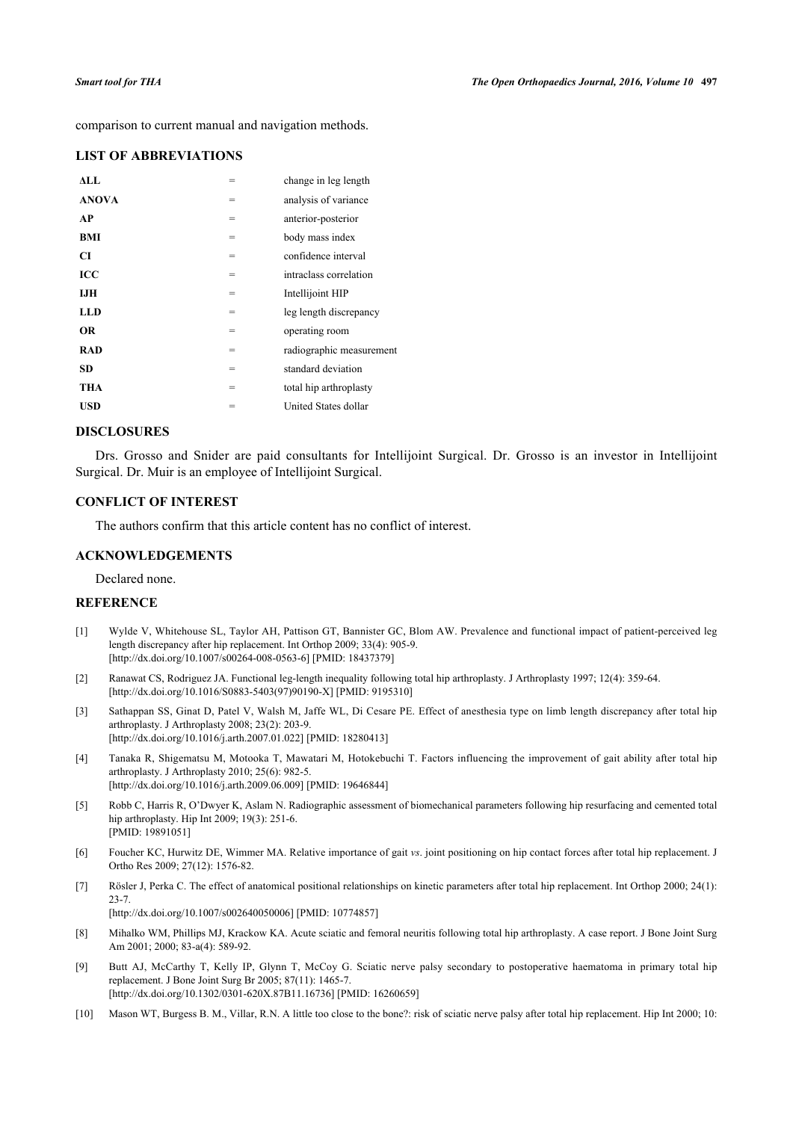comparison to current manual and navigation methods.

# **LIST OF ABBREVIATIONS**

| ALL.         | =   | change in leg length     |
|--------------|-----|--------------------------|
| <b>ANOVA</b> | =   | analysis of variance     |
| AP           | =   | anterior-posterior       |
| BMI          | $=$ | body mass index          |
| CI           | =   | confidence interval      |
| ICC          | =   | intraclass correlation   |
| IJH          | =   | Intellijoint HIP         |
| LLD          | =   | leg length discrepancy   |
| <b>OR</b>    | $=$ | operating room           |
| <b>RAD</b>   | =   | radiographic measurement |
| <b>SD</b>    | =   | standard deviation       |
| <b>THA</b>   | =   | total hip arthroplasty   |
| USD          | $=$ | United States dollar     |
|              |     |                          |

# **DISCLOSURES**

Drs. Grosso and Snider are paid consultants for Intellijoint Surgical. Dr. Grosso is an investor in Intellijoint Surgical. Dr. Muir is an employee of Intellijoint Surgical.

# **CONFLICT OF INTEREST**

The authors confirm that this article content has no conflict of interest.

#### **ACKNOWLEDGEMENTS**

Declared none.

### **REFERENCE**

- <span id="page-7-0"></span>[1] Wylde V, Whitehouse SL, Taylor AH, Pattison GT, Bannister GC, Blom AW. Prevalence and functional impact of patient-perceived leg length discrepancy after hip replacement. Int Orthop 2009; 33(4): 905-9. [\[http://dx.doi.org/10.1007/s00264-008-0563-6\]](http://dx.doi.org/10.1007/s00264-008-0563-6) [PMID: [18437379](http://www.ncbi.nlm.nih.gov/pubmed/18437379)]
- <span id="page-7-1"></span>[2] Ranawat CS, Rodriguez JA. Functional leg-length inequality following total hip arthroplasty. J Arthroplasty 1997; 12(4): 359-64. [\[http://dx.doi.org/10.1016/S0883-5403\(97\)90190-X\]](http://dx.doi.org/10.1016/S0883-5403(97)90190-X) [PMID: [9195310](http://www.ncbi.nlm.nih.gov/pubmed/9195310)]
- <span id="page-7-2"></span>[3] Sathappan SS, Ginat D, Patel V, Walsh M, Jaffe WL, Di Cesare PE. Effect of anesthesia type on limb length discrepancy after total hip arthroplasty. J Arthroplasty 2008; 23(2): 203-9. [\[http://dx.doi.org/10.1016/j.arth.2007.01.022](http://dx.doi.org/10.1016/j.arth.2007.01.022)] [PMID: [18280413](http://www.ncbi.nlm.nih.gov/pubmed/18280413)]
- <span id="page-7-3"></span>[4] Tanaka R, Shigematsu M, Motooka T, Mawatari M, Hotokebuchi T. Factors influencing the improvement of gait ability after total hip arthroplasty. J Arthroplasty 2010; 25(6): 982-5. [\[http://dx.doi.org/10.1016/j.arth.2009.06.009](http://dx.doi.org/10.1016/j.arth.2009.06.009)] [PMID: [19646844](http://www.ncbi.nlm.nih.gov/pubmed/19646844)]
- [5] Robb C, Harris R, O'Dwyer K, Aslam N. Radiographic assessment of biomechanical parameters following hip resurfacing and cemented total hip arthroplasty. Hip Int 2009; 19(3): 251-6. [PMID: [19891051\]](http://www.ncbi.nlm.nih.gov/pubmed/19891051)
- [6] Foucher KC, Hurwitz DE, Wimmer MA. Relative importance of gait *vs*. joint positioning on hip contact forces after total hip replacement. J Ortho Res 2009; 27(12): 1576-82.
- <span id="page-7-4"></span>[7] Rösler J, Perka C. The effect of anatomical positional relationships on kinetic parameters after total hip replacement. Int Orthop 2000; 24(1): 23-7.

[\[http://dx.doi.org/10.1007/s002640050006\]](http://dx.doi.org/10.1007/s002640050006) [PMID: [10774857](http://www.ncbi.nlm.nih.gov/pubmed/10774857)]

- <span id="page-7-5"></span>[8] Mihalko WM, Phillips MJ, Krackow KA. Acute sciatic and femoral neuritis following total hip arthroplasty. A case report. J Bone Joint Surg Am 2001; 2000; 83-a(4): 589-92.
- <span id="page-7-6"></span>[9] Butt AJ, McCarthy T, Kelly IP, Glynn T, McCoy G. Sciatic nerve palsy secondary to postoperative haematoma in primary total hip replacement. J Bone Joint Surg Br 2005; 87(11): 1465-7. [\[http://dx.doi.org/10.1302/0301-620X.87B11.16736\]](http://dx.doi.org/10.1302/0301-620X.87B11.16736) [PMID: [16260659](http://www.ncbi.nlm.nih.gov/pubmed/16260659)]
- [10] Mason WT, Burgess B. M., Villar, R.N. A little too close to the bone?: risk of sciatic nerve palsy after total hip replacement. Hip Int 2000; 10: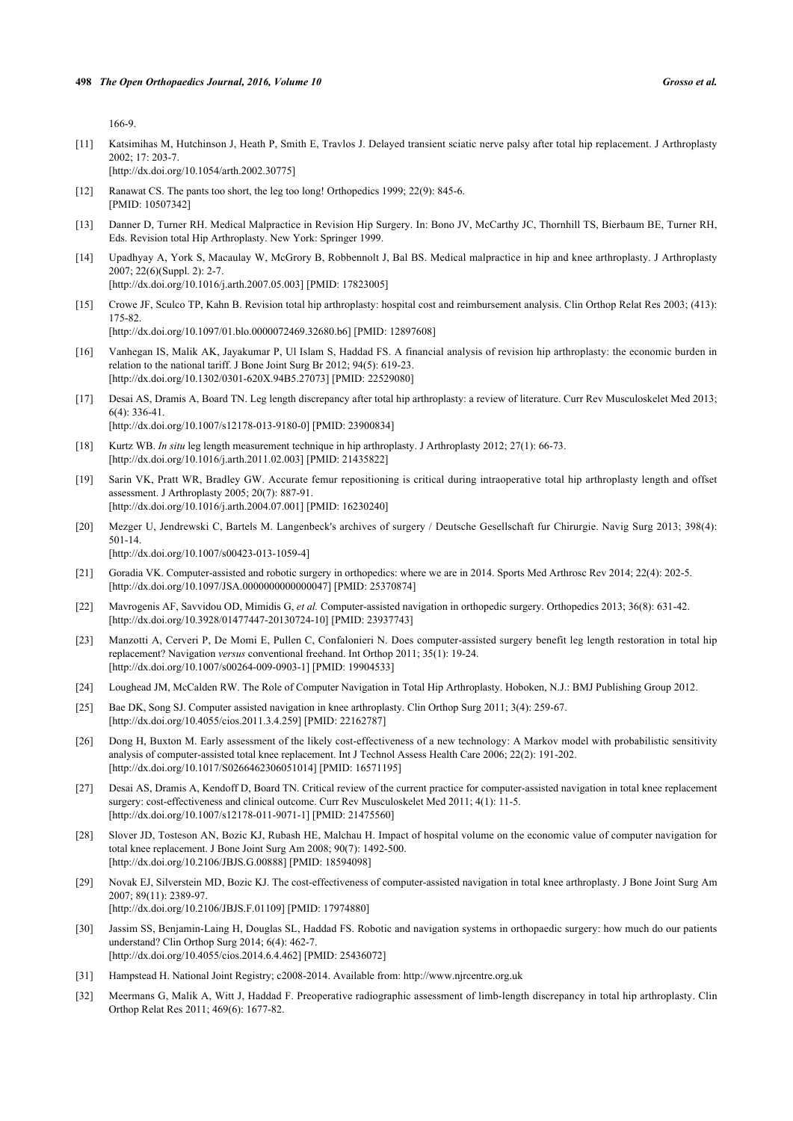166-9.

- <span id="page-8-0"></span>[11] Katsimihas M, Hutchinson J, Heath P, Smith E, Travlos J. Delayed transient sciatic nerve palsy after total hip replacement. J Arthroplasty 2002; 17: 203-7. [\[http://dx.doi.org/10.1054/arth.2002.30775](http://dx.doi.org/10.1054/arth.2002.30775)]
- <span id="page-8-1"></span>[12] Ranawat CS. The pants too short, the leg too long! Orthopedics 1999; 22(9): 845-6. [PMID: [10507342\]](http://www.ncbi.nlm.nih.gov/pubmed/10507342)
- <span id="page-8-2"></span>[13] Danner D, Turner RH. Medical Malpractice in Revision Hip Surgery. In: Bono JV, McCarthy JC, Thornhill TS, Bierbaum BE, Turner RH, Eds. Revision total Hip Arthroplasty. New York: Springer 1999.
- <span id="page-8-3"></span>[14] Upadhyay A, York S, Macaulay W, McGrory B, Robbennolt J, Bal BS. Medical malpractice in hip and knee arthroplasty. J Arthroplasty 2007; 22(6)(Suppl. 2): 2-7.

[\[http://dx.doi.org/10.1016/j.arth.2007.05.003](http://dx.doi.org/10.1016/j.arth.2007.05.003)] [PMID: [17823005](http://www.ncbi.nlm.nih.gov/pubmed/17823005)]

<span id="page-8-4"></span>[15] Crowe JF, Sculco TP, Kahn B. Revision total hip arthroplasty: hospital cost and reimbursement analysis. Clin Orthop Relat Res 2003; (413): 175-82.

[\[http://dx.doi.org/10.1097/01.blo.0000072469.32680.b6](http://dx.doi.org/10.1097/01.blo.0000072469.32680.b6)] [PMID: [12897608\]](http://www.ncbi.nlm.nih.gov/pubmed/12897608)

- <span id="page-8-5"></span>[16] Vanhegan IS, Malik AK, Jayakumar P, Ul Islam S, Haddad FS. A financial analysis of revision hip arthroplasty: the economic burden in relation to the national tariff. J Bone Joint Surg Br 2012; 94(5): 619-23. [\[http://dx.doi.org/10.1302/0301-620X.94B5.27073\]](http://dx.doi.org/10.1302/0301-620X.94B5.27073) [PMID: [22529080](http://www.ncbi.nlm.nih.gov/pubmed/22529080)]
- <span id="page-8-6"></span>[17] Desai AS, Dramis A, Board TN. Leg length discrepancy after total hip arthroplasty: a review of literature. Curr Rev Musculoskelet Med 2013; 6(4): 336-41. [\[http://dx.doi.org/10.1007/s12178-013-9180-0\]](http://dx.doi.org/10.1007/s12178-013-9180-0) [PMID: [23900834](http://www.ncbi.nlm.nih.gov/pubmed/23900834)]
- <span id="page-8-7"></span>[18] Kurtz WB. *In situ* leg length measurement technique in hip arthroplasty. J Arthroplasty 2012; 27(1): 66-73. [\[http://dx.doi.org/10.1016/j.arth.2011.02.003](http://dx.doi.org/10.1016/j.arth.2011.02.003)] [PMID: [21435822](http://www.ncbi.nlm.nih.gov/pubmed/21435822)]
- <span id="page-8-8"></span>[19] Sarin VK, Pratt WR, Bradley GW. Accurate femur repositioning is critical during intraoperative total hip arthroplasty length and offset assessment. J Arthroplasty 2005; 20(7): 887-91. [\[http://dx.doi.org/10.1016/j.arth.2004.07.001](http://dx.doi.org/10.1016/j.arth.2004.07.001)] [PMID: [16230240](http://www.ncbi.nlm.nih.gov/pubmed/16230240)]
- <span id="page-8-9"></span>[20] Mezger U, Jendrewski C, Bartels M. Langenbeck's archives of surgery / Deutsche Gesellschaft fur Chirurgie. Navig Surg 2013; 398(4): 501-14. [\[http://dx.doi.org/10.1007/s00423-013-1059-4\]](http://dx.doi.org/10.1007/s00423-013-1059-4)
- [21] Goradia VK. Computer-assisted and robotic surgery in orthopedics: where we are in 2014. Sports Med Arthrosc Rev 2014; 22(4): 202-5. [\[http://dx.doi.org/10.1097/JSA.0000000000000047](http://dx.doi.org/10.1097/JSA.0000000000000047)] [PMID: [25370874\]](http://www.ncbi.nlm.nih.gov/pubmed/25370874)
- <span id="page-8-10"></span>[22] Mavrogenis AF, Savvidou OD, Mimidis G, *et al.* Computer-assisted navigation in orthopedic surgery. Orthopedics 2013; 36(8): 631-42. [\[http://dx.doi.org/10.3928/01477447-20130724-10](http://dx.doi.org/10.3928/01477447-20130724-10)] [PMID: [23937743\]](http://www.ncbi.nlm.nih.gov/pubmed/23937743)
- <span id="page-8-11"></span>[23] Manzotti A, Cerveri P, De Momi E, Pullen C, Confalonieri N. Does computer-assisted surgery benefit leg length restoration in total hip replacement? Navigation *versus* conventional freehand. Int Orthop 2011; 35(1): 19-24. [\[http://dx.doi.org/10.1007/s00264-009-0903-1\]](http://dx.doi.org/10.1007/s00264-009-0903-1) [PMID: [19904533](http://www.ncbi.nlm.nih.gov/pubmed/19904533)]
- <span id="page-8-12"></span>[24] Loughead JM, McCalden RW. The Role of Computer Navigation in Total Hip Arthroplasty. Hoboken, N.J.: BMJ Publishing Group 2012.
- <span id="page-8-13"></span>[25] Bae DK, Song SJ. Computer assisted navigation in knee arthroplasty. Clin Orthop Surg 2011; 3(4): 259-67. [\[http://dx.doi.org/10.4055/cios.2011.3.4.259\]](http://dx.doi.org/10.4055/cios.2011.3.4.259) [PMID: [22162787](http://www.ncbi.nlm.nih.gov/pubmed/22162787)]
- <span id="page-8-14"></span>[26] Dong H, Buxton M. Early assessment of the likely cost-effectiveness of a new technology: A Markov model with probabilistic sensitivity analysis of computer-assisted total knee replacement. Int J Technol Assess Health Care 2006; 22(2): 191-202. [\[http://dx.doi.org/10.1017/S0266462306051014](http://dx.doi.org/10.1017/S0266462306051014)] [PMID: [16571195\]](http://www.ncbi.nlm.nih.gov/pubmed/16571195)
- <span id="page-8-16"></span>[27] Desai AS, Dramis A, Kendoff D, Board TN. Critical review of the current practice for computer-assisted navigation in total knee replacement surgery: cost-effectiveness and clinical outcome. Curr Rev Musculoskelet Med 2011; 4(1): 11-5. [\[http://dx.doi.org/10.1007/s12178-011-9071-1\]](http://dx.doi.org/10.1007/s12178-011-9071-1) [PMID: [21475560](http://www.ncbi.nlm.nih.gov/pubmed/21475560)]
- <span id="page-8-15"></span>[28] Slover JD, Tosteson AN, Bozic KJ, Rubash HE, Malchau H. Impact of hospital volume on the economic value of computer navigation for total knee replacement. J Bone Joint Surg Am 2008; 90(7): 1492-500. [\[http://dx.doi.org/10.2106/JBJS.G.00888\]](http://dx.doi.org/10.2106/JBJS.G.00888) [PMID: [18594098](http://www.ncbi.nlm.nih.gov/pubmed/18594098)]
- <span id="page-8-17"></span>[29] Novak EJ, Silverstein MD, Bozic KJ. The cost-effectiveness of computer-assisted navigation in total knee arthroplasty. J Bone Joint Surg Am 2007; 89(11): 2389-97. [\[http://dx.doi.org/10.2106/JBJS.F.01109](http://dx.doi.org/10.2106/JBJS.F.01109)] [PMID: [17974880\]](http://www.ncbi.nlm.nih.gov/pubmed/17974880)
- <span id="page-8-18"></span>[30] Jassim SS, Benjamin-Laing H, Douglas SL, Haddad FS. Robotic and navigation systems in orthopaedic surgery: how much do our patients understand? Clin Orthop Surg 2014; 6(4): 462-7. [\[http://dx.doi.org/10.4055/cios.2014.6.4.462\]](http://dx.doi.org/10.4055/cios.2014.6.4.462) [PMID: [25436072](http://www.ncbi.nlm.nih.gov/pubmed/25436072)]
- <span id="page-8-19"></span>[31] Hampstead H. National Joint Registry; c2008-2014. Available from: [http://www.njrcentre.org.uk](http://www.njrcentre.org.uk2014)
- <span id="page-8-20"></span>[32] Meermans G, Malik A, Witt J, Haddad F. Preoperative radiographic assessment of limb-length discrepancy in total hip arthroplasty. Clin Orthop Relat Res 2011; 469(6): 1677-82.